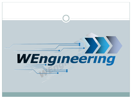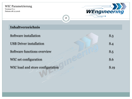Version:V1.1 Datum:08.12.2016



# **Inhaltverzeichnis**

| Software installation            | S.3  |
|----------------------------------|------|
| <b>USB</b> Driver installation   |      |
| Software functions overview      | S.5  |
| WIC set configuration            | S.6  |
| WIC load and store configuration | S.19 |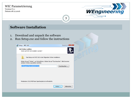Version:V1.1 Datum:08.12.2016



## **Software Installation**

- 1. Download and unpack the software
- 2. Run Setup.exe and follow the instructions

| Setup - WIC GUI                                                                                                                |             |
|--------------------------------------------------------------------------------------------------------------------------------|-------------|
| Ziel-Ordner wählen<br>Wohin soll WIC GUI installiert werden?                                                                   |             |
| Das Setup wird WIC GUI in den folgenden Ordner installieren.                                                                   |             |
| Klicken Sie auf "Weiter", um fortzufahren. Klicken Sie auf "Durchsuchen", falls Sie einen<br>anderen Ordner auswählen möchten. |             |
| C: \Program Files (x86) \WIC GUI                                                                                               | Durchsuchen |
|                                                                                                                                |             |
| Mindestens 319,9 MB freier Speicherplatz ist erforderlich.                                                                     |             |
| Weiter $>$                                                                                                                     | Abbrechen   |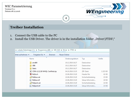Version:V1.1 Datum:08.12.2016



## **Treiber Installation**

- 1. Connect the USB cable to the PC
- 2. Install the USB Driver. The driver is in the installation folder "Driver\FTDI\"

|                                                                                       | Neuer Ordner<br>$\mathsf{other}$ aufnehmen $\blacktriangledown$<br>Freigeben für $\blacktriangledown$<br><b>Brennen</b> |  |  |  |  |
|---------------------------------------------------------------------------------------|-------------------------------------------------------------------------------------------------------------------------|--|--|--|--|
| ≖<br>Änderungsdatum<br>Größe<br>Name<br>Typ                                           |                                                                                                                         |  |  |  |  |
| amd <sub>64</sub><br>10.12.2016 16:27<br>Dateiordner                                  |                                                                                                                         |  |  |  |  |
| i386<br>10.12.2016 16:27<br>Dateiordner                                               |                                                                                                                         |  |  |  |  |
| <b>Static</b><br>10.12.2016 16:27<br>Dateiordner                                      |                                                                                                                         |  |  |  |  |
| E CDM v2.12.18 WHQL Certified.zip<br>04.10.2016 15:35<br><b>ZIP-Datei</b><br>1.323 KB |                                                                                                                         |  |  |  |  |
| h ftd2xx.h<br>21.06.2016 15:20<br>Header file                                         | 41 KB                                                                                                                   |  |  |  |  |
| ftdibus.cat<br>21.06.2016 15:20<br>Sicherheitskatalog                                 | 15 KB                                                                                                                   |  |  |  |  |
| ftdibus.inf<br>21.06.2016 15:20<br>Setup-Informatio                                   | 19 KB                                                                                                                   |  |  |  |  |
| ftdiport.cat<br>21.06.2016 15:20<br>Sicherheitskatalog                                | <b>14 KB</b>                                                                                                            |  |  |  |  |
| ftdiport.inf<br>21.06.2016 15:20<br>雛<br>Setup-Informatio                             | <b>15 KB</b>                                                                                                            |  |  |  |  |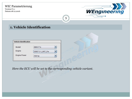Version:V1.1 Datum:08.12.2016



5

# **1. Vehicle Identification**

| <b>Vehicle Identification</b> |                  |
|-------------------------------|------------------|
| Modell                        | <b>BMW F1x</b>   |
| Engine                        | DDE7.3.1_N57_Fxx |
| <b>Engine Power</b>           | 500 hp           |
|                               |                  |

*Here the ECU will be set to the corresponding vehicle variant.*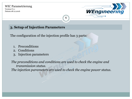#### WIC Parametrierung Version:V1.1

Datum:08.12.2016



# **3. Setup of Injection Parameters**

The configuration of the injection profile has 3 parts:

- 1. Preconditions
- 2. Conditions
- 3. Injection parameters

*The preconditions and conditions are used to check the engine and transmission status.*

6

*The injection parameters are used to check the engine power status.*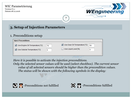Version:V1.1 Datum:08.12.2016



# **3. Setup of Injection Parameters**

## 1. Preconditions setup

| <b>Inject Preconditions</b>     |    |                               |    |
|---------------------------------|----|-------------------------------|----|
| Use Engine Oil Temperature [°C] | 75 | Use Gear Oil Temperature [°C] | 50 |
| Use Outside Temperature [°C]    | 5  | Use Liquid Level [%]          |    |
|                                 |    |                               |    |

*Here it is possible to activate the injection preconditions.* 

*Only the selected sensor values will be used (select checkbox). The current sensor value of all selected sensors should be higher than the precondition values. The status will be shown with the following symbols in the display:*



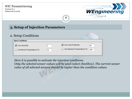Version:V1.1 Datum:08.12.2016



# **3. Setup of Injection Parameters**

#### 2. Setup Conditions

| <b>Inject Conditions</b>   |    |                              |     |
|----------------------------|----|------------------------------|-----|
| ■ Use Gear [Nr]            | 2  | Use Accel Pedal [%]          | 90  |
| Use Boost Temperature [°C] | 35 | Use Exhaust Temperature [°C] | 450 |

*Here it is possible to activate the injection conditions.*

*Only the selected sensor values will be used (select checkbox). The current sensor value of all selected sensors should be higher than the condition values.*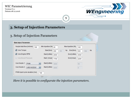Version:V1.1 Datum:08.12.2016



# **3. Setup of Injection Parameters**

#### 3. Setup of Injection Parameters

| <b>Main Inject Parameter</b>                                 |                         |                      |                  |
|--------------------------------------------------------------|-------------------------|----------------------|------------------|
| Nozzle total flow [ml/min]<br>100                            | Min Injection [%]<br>20 | Max Injection [%]    | 100              |
| V Use Torque                                                 | Start [Nm]<br>200       | End [Nm]<br>hp<br>56 | hp<br>600<br>384 |
| Use Engine RPM                                               | Start [U/Min]<br>2000   | End [U/Min]          | 4500             |
| Use Boost Pressure                                           | Start [mbar]<br>1700    | End [mbar]           | 2200             |
| Use Nozzle 1<br><b>PWM</b><br>$\mathbf{v}$                   | Start [U/Min]<br>3000   |                      | 50               |
| Use Nozzle 2<br><b>USE NOZZLE</b><br>$\overline{\mathbf{v}}$ | Start [U/Min]<br>4000   |                      | $\vert 0 \vert$  |
| PWM inject cycle duration [ms]<br>100                        |                         |                      |                  |

9

*Here it is possible to configurate the injection parameters.*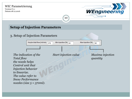Version:V1.1 Datum:08.12.2016



## **Setup of Injection Parameters**

## 3. Setup of Injection Parameters

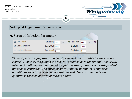Version:V1.1 Datum:08.12.2016



## **Setup of Injection Parameters**

#### 3. Setup of Injection Parameters

| Use Torque         | Start [Nm]<br>300<br>85 | End [Nm]<br>hp<br>np<br>550<br>352 |
|--------------------|-------------------------|------------------------------------|
| Use Engine RPM     | Start [U/Min] 2000      | End [U/Min]<br>4500                |
| Use Boost Pressure | Start [mbar]   0        | End [mbar]                         |

*Three signals (torque, speed and boost pressure) are available for the injection control. However, the signals can also be combined as in the example above (2D injection). With the combination of torque and speed, a performance-dependent injection is generated. The injection starts with the minimum set injection quantity as soon as the start values are reached. The maximum injection quantity is reached linearly at the end values.*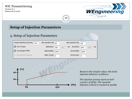Version:V1.1 Datum:08.12.2016



## **Setup of Injection Parameters**

#### 3. Setup of Injection Parameters

| Nozzle total flow [ml/min]<br>370 | Min Injection [%] 60 | Max Injection [%]    | 90                |
|-----------------------------------|----------------------|----------------------|-------------------|
| Use Torque                        | Start [Nm]<br>300    | End [Nm]<br>hp<br>85 | -np<br>550<br>352 |
| Use Engine RPM                    | Start [U/Min] 2000   | End [U/Min]          | 4500              |
| Use Boost Pressure                | Start [mbar] 0       | End [mbar]           | $\bf{0}$          |

12



*Based on the sample values, this looks Injection behavior as follows:*

*The injection process starts at 60% a power of 85Hp. The maximal Injection volume is reached at 350Hp.*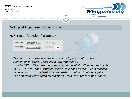| <b>WIC Parametrierung</b><br>Version: V <sub>1.1</sub><br>Datum:08.12.2016                                            | <b>WEngineering</b><br>l3 |
|-----------------------------------------------------------------------------------------------------------------------|---------------------------|
| <b>Setup of Injection Parameters</b>                                                                                  |                           |
| 3. Setup of Injection Parameters                                                                                      |                           |
| Use Nozzle 1<br>Start [U/Min] $\vert_{\cap}$<br>USE NOZZLE<br>Use Nozzle 2<br>Start [U/Min]<br>BOOST MODE   V<br>3700 |                           |

*The control unit supports up to two more by means of a valve switchable injectors. There are 4 different modes.*

*USE NOZZLE: The output will switched in parallel with an active injection. BOOST MODE: The output will switched as soon as the RPM is reached. Furthermore, an accelerator pedal position of at least 90% is required. The flow rate is regulated by the pump pressure in the first two modes.*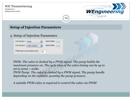## WIC Parametrierung Version:V1.1 WEngineering Datum:08.12.201614 **Setup of Injection Parameters** 3. Setup of Injection Parameters Use Nozzle 1 Start [U/Min]  $3000$ **PWM** Start [U/Min]  $\boxed{4000}$ Use Nozzle 2 **USE NOZZLE** PWM inject cycle duration [ms] 100 *PWM: The valve is clocked by a PWM signal. The pump builds the maximum pressure on. The cycle time of the valve timing can be up to set to 50ms = 20Hz.*

*PWM Pump: The valve is clocked by a PWM signal. The pump handle depending on the injection quantity the pump pressure.*

*A suitable PWM valve is required to control the valve via PWM!*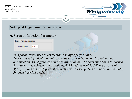Version:V1.1 Datum:08.12.2016



## **Setup of Injection Parameters**

## 3. Setup of Injection Parameters

| <b>Engine Power Adjustment</b> |                |  |
|--------------------------------|----------------|--|
| Correction [%]                 | 0 <sub>0</sub> |  |

*This parameter is used to correct the displayed performance. There is usually a deviation with an active water injection or through a map optimization. The difference of the deviation can only be determined on a test bench. Example: A max. Power measured by 385PS and the vehicle delivers a value of 350Hp, in this case a 10 percent correction is necessary. This can be set individually for each injection profile.*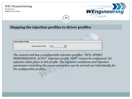| <b>WIC Parametrierung</b><br>Version:V1.1<br>Datum:08.12.2016 |                                                   | WEngineering |
|---------------------------------------------------------------|---------------------------------------------------|--------------|
|                                                               | 16                                                |              |
|                                                               | Mapping the injection profiles to driver profiles |              |
|                                                               |                                                   |              |
|                                                               |                                                   |              |
| <b>Select Inject Profile</b>                                  |                                                   |              |
| Select Inject Profile                                         | <b>OFF</b>                                        |              |
|                                                               |                                                   |              |

*The control unit has 4 configurable injection profiles: "ECO, SPORT, PERFORMANCE, AUTO". Injection profile "OFF" cannot be configured. No injection takes place in this profile. The injection conditions and injection parameters including the power correction can be carried out individually for the configurable profiles.*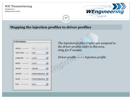Version:V1.1 Datum:08.12.2016



# **Mapping the injection profiles to driver profiles**

17

| <b>Profile Mapping</b>      |                    |  |  |  |  |
|-----------------------------|--------------------|--|--|--|--|
|                             |                    |  |  |  |  |
| <b>INITIAL</b> -----------> | <b>OFF</b><br>v    |  |  |  |  |
| TRACTION ------>            | <b>OFF</b>         |  |  |  |  |
| KOMFORT ----->              | <b>AUTO</b>        |  |  |  |  |
| BASIS ----------->          | <b>AUTO</b>        |  |  |  |  |
| SPORT --------->            | <b>SPORT</b>       |  |  |  |  |
| SPORT+ -------->            | PERFORMANCE        |  |  |  |  |
| RACE ------------>          | <b>PERFORMANCE</b> |  |  |  |  |
| ECO ------------>           | ECO                |  |  |  |  |
|                             |                    |  |  |  |  |

*The injection profiles (right) are assigned to the driver profiles (left) in this area. Only for F models.*

*Driver profile -----> Injection profile*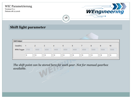Version:V1.1 Datum:08.12.2016



## **Shift light parameter**

| <b>Shift Helper</b> |      |      |      |                |      |      |      |      |      |          |
|---------------------|------|------|------|----------------|------|------|------|------|------|----------|
| Gear[Nr.]           |      | 2    | 3    | $\overline{4}$ | 5    | 6    |      | 8    | 9    | 10       |
| RPM Trigger         | 3700 | 4000 | 4200 | 4400           | 4500 | 4600 | 4500 | 5000 | 5000 | 5000     |
|                     | 0    | 0    | 0    | 0              | 0    | 0    | 0    | 0    | 0    | $\bf{0}$ |

18

*The shift point can be stored here for each gear. Not for manual gearbox available.*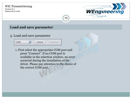Version:V1.1 Datum:08.12.2016



## **Load and save parameter**

## 5. Load and save parameter

COM<sub>5</sub> Disconnect Connect

1. First select the appropriate COM port and press "Connect". If no COM port is available in the selection window, an error occurred during the installation of the driver. Please pay attention to the choice of the correct COM port.